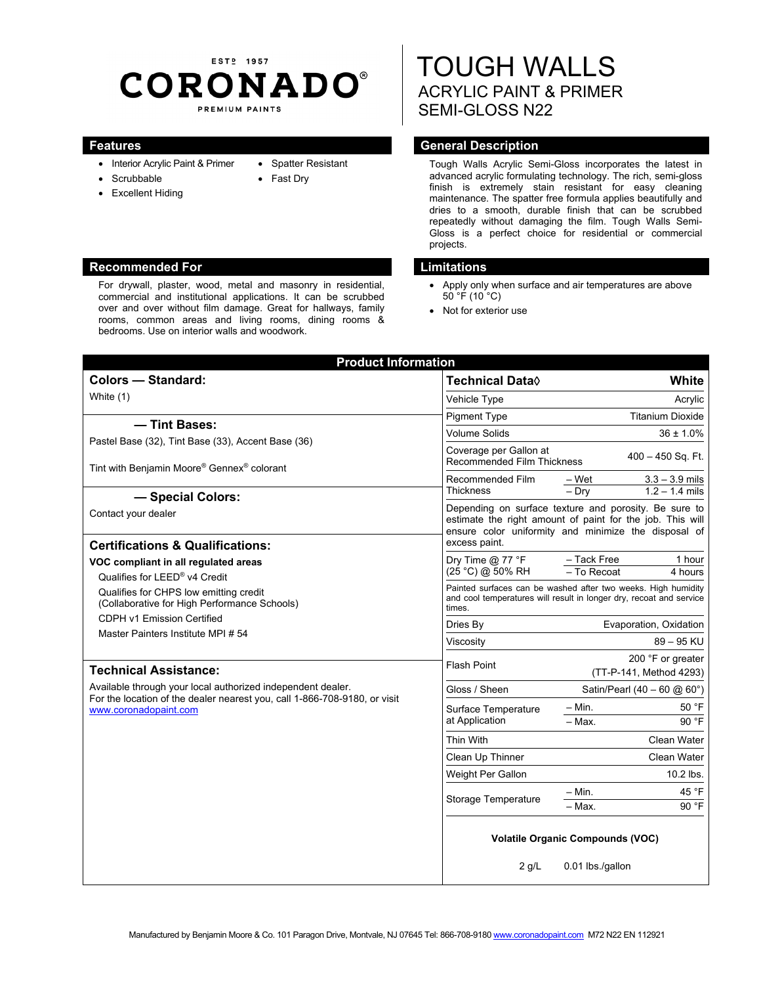# EST<sub>2</sub> 1957 **CORONADO®** PREMIUM PAINTS

- Interior Acrylic Paint & Primer
- Scrubbable
- Excellent Hiding
- Spatter Resistant
- Fast Dry

## **Recommended For Limitations and Limitations**

For drywall, plaster, wood, metal and masonry in residential, commercial and institutional applications. It can be scrubbed over and over without film damage. Great for hallways, family rooms, common areas and living rooms, dining rooms & bedrooms. Use on interior walls and woodwork.

# TOUGH WALLS ACRYLIC PAINT & PRIMER SEMI-GLOSS N22

# **Features General Description Contract Description**

Tough Walls Acrylic Semi-Gloss incorporates the latest in advanced acrylic formulating technology. The rich, semi-gloss finish is extremely stain resistant for easy cleaning maintenance. The spatter free formula applies beautifully and dries to a smooth, durable finish that can be scrubbed repeatedly without damaging the film. Tough Walls Semi-Gloss is a perfect choice for residential or commercial projects.

- Apply only when surface and air temperatures are above  $50 °F$  (10 °C)
- Not for exterior use

| <b>Product Information</b>                                                                                                                                        |                                                                                                                                                                            |                               |                                      |  |
|-------------------------------------------------------------------------------------------------------------------------------------------------------------------|----------------------------------------------------------------------------------------------------------------------------------------------------------------------------|-------------------------------|--------------------------------------|--|
| <b>Colors - Standard:</b>                                                                                                                                         | <b>Technical Data</b> ♦                                                                                                                                                    |                               | White                                |  |
| White (1)                                                                                                                                                         | Vehicle Type                                                                                                                                                               |                               | Acrylic                              |  |
|                                                                                                                                                                   | <b>Pigment Type</b>                                                                                                                                                        | <b>Titanium Dioxide</b>       |                                      |  |
|                                                                                                                                                                   | - Tint Bases:<br><b>Volume Solids</b>                                                                                                                                      |                               | $36 \pm 1.0\%$                       |  |
| Pastel Base (32), Tint Base (33), Accent Base (36)<br>Tint with Benjamin Moore® Gennex® colorant                                                                  | Coverage per Gallon at<br>$400 - 450$ Sq. Ft.<br><b>Recommended Film Thickness</b>                                                                                         |                               |                                      |  |
|                                                                                                                                                                   | Recommended Film<br><b>Thickness</b>                                                                                                                                       | – Wet<br>$-$ Dry              | $3.3 - 3.9$ mils<br>$1.2 - 1.4$ mils |  |
| - Special Colors:                                                                                                                                                 | Depending on surface texture and porosity. Be sure to<br>estimate the right amount of paint for the job. This will<br>ensure color uniformity and minimize the disposal of |                               |                                      |  |
| Contact your dealer                                                                                                                                               |                                                                                                                                                                            |                               |                                      |  |
| <b>Certifications &amp; Qualifications:</b>                                                                                                                       | excess paint.                                                                                                                                                              |                               |                                      |  |
| VOC compliant in all regulated areas                                                                                                                              | Dry Time $@$ 77 °F                                                                                                                                                         | - Tack Free                   | 1 hour                               |  |
| Qualifies for LEED® v4 Credit                                                                                                                                     | (25 °C) @ 50% RH                                                                                                                                                           | - To Recoat<br>4 hours        |                                      |  |
| Qualifies for CHPS low emitting credit<br>(Collaborative for High Performance Schools)                                                                            | Painted surfaces can be washed after two weeks. High humidity<br>and cool temperatures will result in longer dry, recoat and service<br>times.                             |                               |                                      |  |
| <b>CDPH v1 Emission Certified</b><br>Master Painters Institute MPI # 54                                                                                           | Dries By                                                                                                                                                                   | Evaporation, Oxidation        |                                      |  |
|                                                                                                                                                                   | Viscosity                                                                                                                                                                  | $89 - 95$ KU                  |                                      |  |
|                                                                                                                                                                   |                                                                                                                                                                            |                               | 200 °F or greater                    |  |
| <b>Technical Assistance:</b>                                                                                                                                      | <b>Flash Point</b><br>(TT-P-141, Method 4293)                                                                                                                              |                               |                                      |  |
| Available through your local authorized independent dealer.<br>For the location of the dealer nearest you, call 1-866-708-9180, or visit<br>www.coronadopaint.com | Gloss / Sheen                                                                                                                                                              | Satin/Pearl (40 - 60 $@$ 60°) |                                      |  |
|                                                                                                                                                                   | Surface Temperature<br>at Application                                                                                                                                      | – Min.                        | 50 °F                                |  |
|                                                                                                                                                                   |                                                                                                                                                                            | - Max.                        | 90 °F                                |  |
|                                                                                                                                                                   | <b>Thin With</b>                                                                                                                                                           |                               | Clean Water                          |  |
|                                                                                                                                                                   | Clean Up Thinner                                                                                                                                                           | Clean Water                   |                                      |  |
|                                                                                                                                                                   | Weight Per Gallon                                                                                                                                                          | 10.2 lbs.                     |                                      |  |
|                                                                                                                                                                   | <b>Storage Temperature</b>                                                                                                                                                 | – Min.                        | 45 °F                                |  |
|                                                                                                                                                                   |                                                                                                                                                                            | $-$ Max.                      | 90 °F                                |  |
|                                                                                                                                                                   | <b>Volatile Organic Compounds (VOC)</b><br>0.01 lbs./gallon<br>$2$ g/L                                                                                                     |                               |                                      |  |